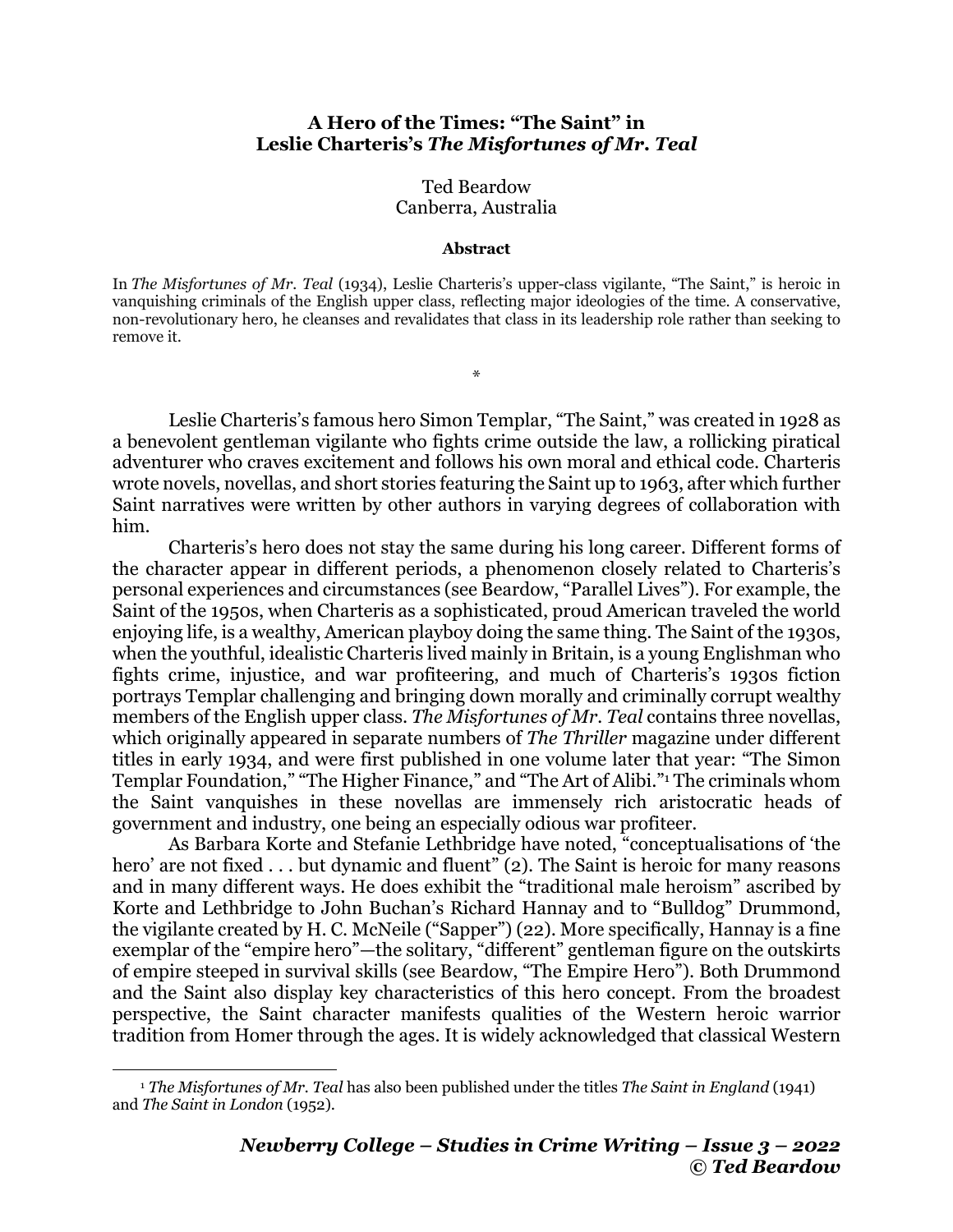## **A Hero of the Times: "The Saint" in Leslie Charteris's** *The Misfortunes of Mr. Teal*

## Ted Beardow Canberra, Australia

## **Abstract**

In *The Misfortunes of Mr. Teal* (1934), Leslie Charteris's upper-class vigilante, "The Saint," is heroic in vanquishing criminals of the English upper class, reflecting major ideologies of the time. A conservative, non-revolutionary hero, he cleanses and revalidates that class in its leadership role rather than seeking to remove it.

\*

Leslie Charteris's famous hero Simon Templar, "The Saint," was created in 1928 as a benevolent gentleman vigilante who fights crime outside the law, a rollicking piratical adventurer who craves excitement and follows his own moral and ethical code. Charteris wrote novels, novellas, and short stories featuring the Saint up to 1963, after which further Saint narratives were written by other authors in varying degrees of collaboration with him.

Charteris's hero does not stay the same during his long career. Different forms of the character appear in different periods, a phenomenon closely related to Charteris's personal experiences and circumstances (see Beardow, "Parallel Lives"). For example, the Saint of the 1950s, when Charteris as a sophisticated, proud American traveled the world enjoying life, is a wealthy, American playboy doing the same thing. The Saint of the 1930s, when the youthful, idealistic Charteris lived mainly in Britain, is a young Englishman who fights crime, injustice, and war profiteering, and much of Charteris's 1930s fiction portrays Templar challenging and bringing down morally and criminally corrupt wealthy members of the English upper class. *The Misfortunes of Mr. Teal* contains three novellas, which originally appeared in separate numbers of *The Thriller* magazine under different titles in early 1934, and were first published in one volume later that year: "The Simon Templar Foundation," "The Higher Finance," and "The Art of Alibi."1 The criminals whom the Saint vanquishes in these novellas are immensely rich aristocratic heads of government and industry, one being an especially odious war profiteer.

As Barbara Korte and Stefanie Lethbridge have noted, "conceptualisations of 'the hero' are not fixed . . . but dynamic and fluent" (2). The Saint is heroic for many reasons and in many different ways. He does exhibit the "traditional male heroism" ascribed by Korte and Lethbridge to John Buchan's Richard Hannay and to "Bulldog" Drummond, the vigilante created by H. C. McNeile ("Sapper") (22). More specifically, Hannay is a fine exemplar of the "empire hero"—the solitary, "different" gentleman figure on the outskirts of empire steeped in survival skills (see Beardow, "The Empire Hero"). Both Drummond and the Saint also display key characteristics of this hero concept. From the broadest perspective, the Saint character manifests qualities of the Western heroic warrior tradition from Homer through the ages. It is widely acknowledged that classical Western

<sup>1</sup> *The Misfortunes of Mr. Teal* has also been published under the titles *The Saint in England* (1941) and *The Saint in London* (1952).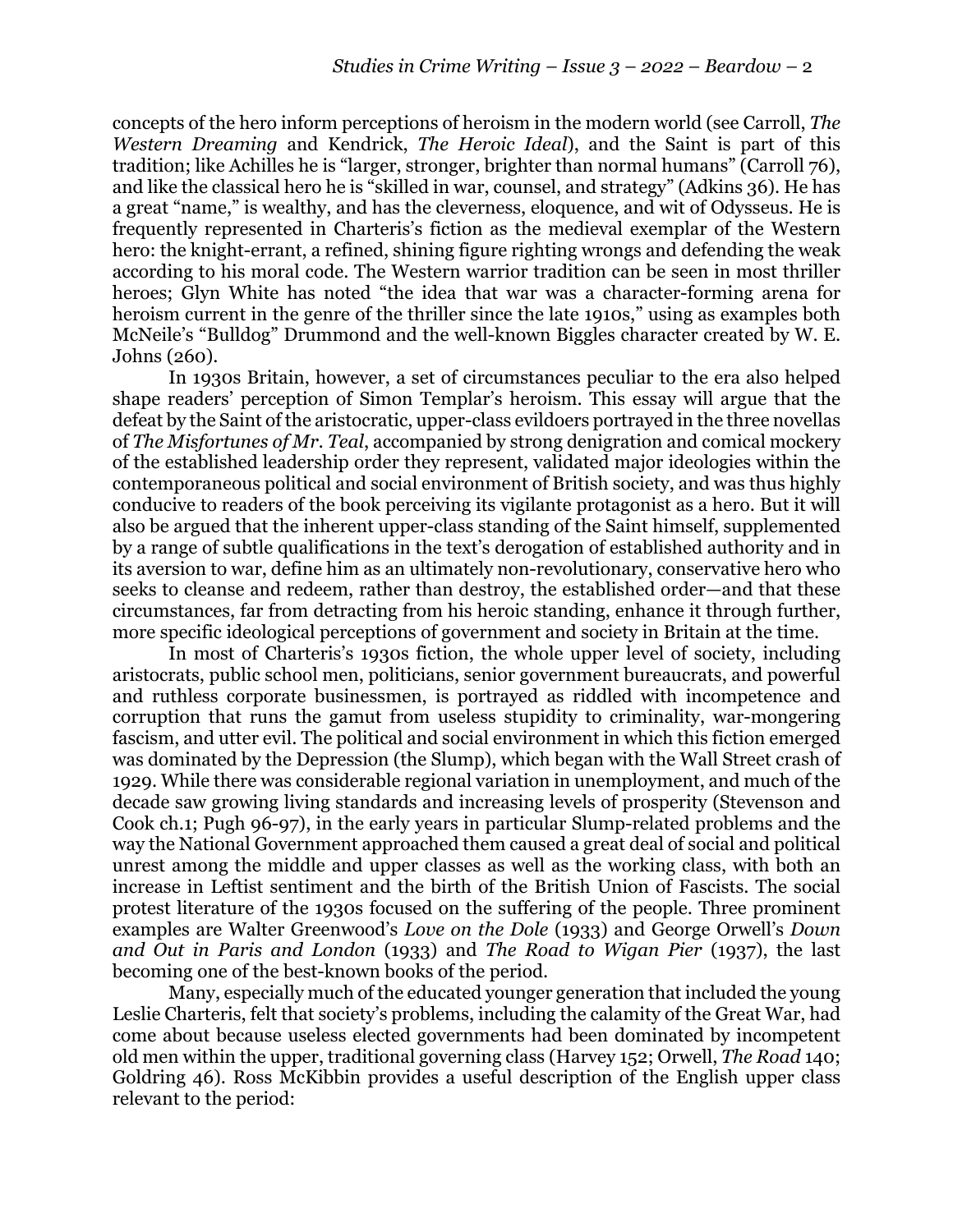concepts of the hero inform perceptions of heroism in the modern world (see Carroll, *The Western Dreaming* and Kendrick, *The Heroic Ideal*), and the Saint is part of this tradition; like Achilles he is "larger, stronger, brighter than normal humans" (Carroll 76), and like the classical hero he is "skilled in war, counsel, and strategy" (Adkins 36). He has a great "name," is wealthy, and has the cleverness, eloquence, and wit of Odysseus. He is frequently represented in Charteris's fiction as the medieval exemplar of the Western hero: the knight-errant, a refined, shining figure righting wrongs and defending the weak according to his moral code. The Western warrior tradition can be seen in most thriller heroes; Glyn White has noted "the idea that war was a character-forming arena for heroism current in the genre of the thriller since the late 1910s," using as examples both McNeile's "Bulldog" Drummond and the well-known Biggles character created by W. E. Johns (260).

In 1930s Britain, however, a set of circumstances peculiar to the era also helped shape readers' perception of Simon Templar's heroism. This essay will argue that the defeat by the Saint of the aristocratic, upper-class evildoers portrayed in the three novellas of *The Misfortunes of Mr. Teal*, accompanied by strong denigration and comical mockery of the established leadership order they represent, validated major ideologies within the contemporaneous political and social environment of British society, and was thus highly conducive to readers of the book perceiving its vigilante protagonist as a hero. But it will also be argued that the inherent upper-class standing of the Saint himself, supplemented by a range of subtle qualifications in the text's derogation of established authority and in its aversion to war, define him as an ultimately non-revolutionary, conservative hero who seeks to cleanse and redeem, rather than destroy, the established order—and that these circumstances, far from detracting from his heroic standing, enhance it through further, more specific ideological perceptions of government and society in Britain at the time.

In most of Charteris's 1930s fiction, the whole upper level of society, including aristocrats, public school men, politicians, senior government bureaucrats, and powerful and ruthless corporate businessmen, is portrayed as riddled with incompetence and corruption that runs the gamut from useless stupidity to criminality, war-mongering fascism, and utter evil. The political and social environment in which this fiction emerged was dominated by the Depression (the Slump), which began with the Wall Street crash of 1929. While there was considerable regional variation in unemployment, and much of the decade saw growing living standards and increasing levels of prosperity (Stevenson and Cook ch.1; Pugh 96-97), in the early years in particular Slump-related problems and the way the National Government approached them caused a great deal of social and political unrest among the middle and upper classes as well as the working class, with both an increase in Leftist sentiment and the birth of the British Union of Fascists. The social protest literature of the 1930s focused on the suffering of the people. Three prominent examples are Walter Greenwood's *Love on the Dole* (1933) and George Orwell's *Down and Out in Paris and London* (1933) and *The Road to Wigan Pier* (1937), the last becoming one of the best-known books of the period.

Many, especially much of the educated younger generation that included the young Leslie Charteris, felt that society's problems, including the calamity of the Great War, had come about because useless elected governments had been dominated by incompetent old men within the upper, traditional governing class (Harvey 152; Orwell, *The Road* 140; Goldring 46). Ross McKibbin provides a useful description of the English upper class relevant to the period: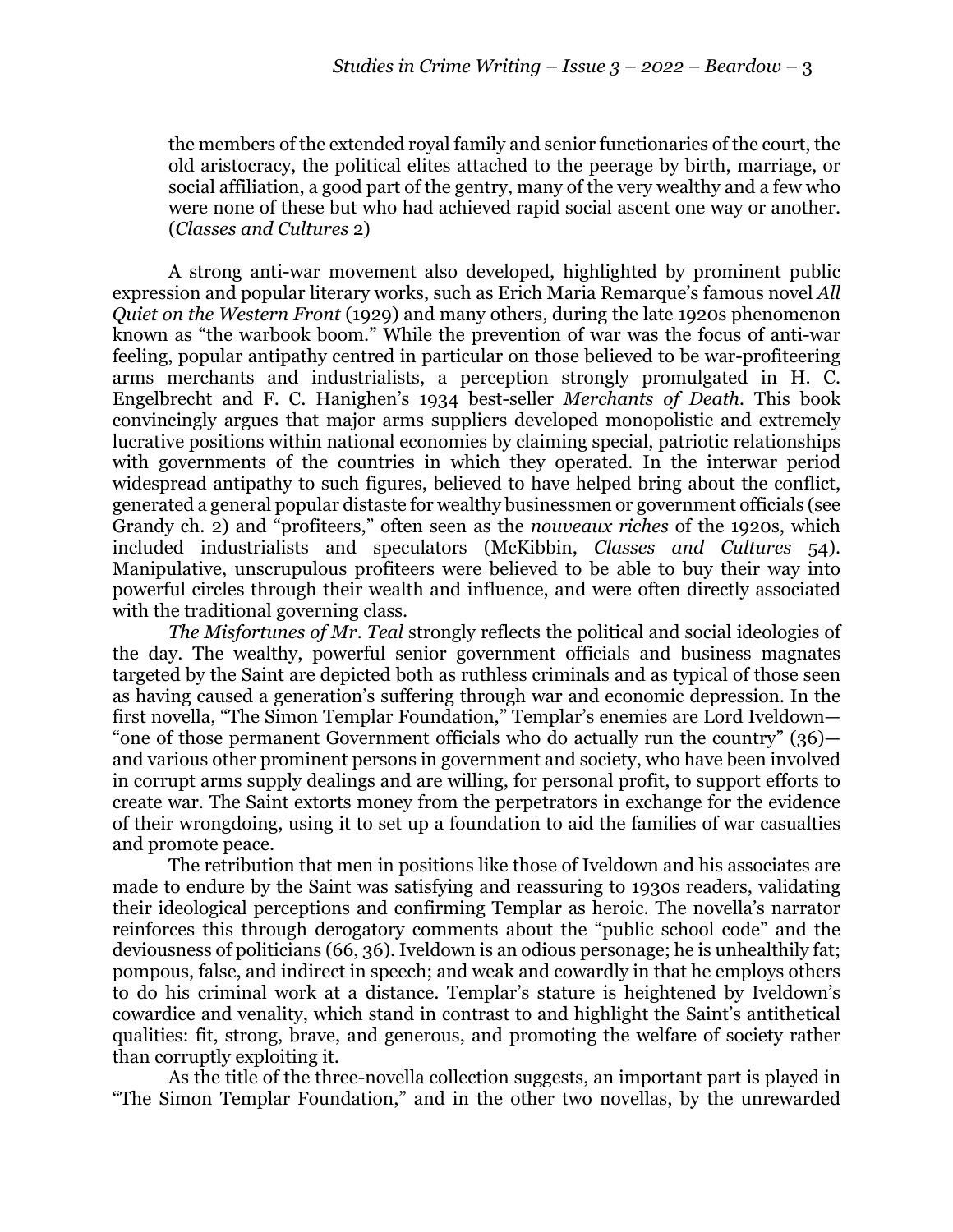the members of the extended royal family and senior functionaries of the court, the old aristocracy, the political elites attached to the peerage by birth, marriage, or social affiliation, a good part of the gentry, many of the very wealthy and a few who were none of these but who had achieved rapid social ascent one way or another. (*Classes and Cultures* 2)

A strong anti-war movement also developed, highlighted by prominent public expression and popular literary works, such as Erich Maria Remarque's famous novel *All Quiet on the Western Front* (1929) and many others, during the late 1920s phenomenon known as "the warbook boom." While the prevention of war was the focus of anti-war feeling, popular antipathy centred in particular on those believed to be war-profiteering arms merchants and industrialists, a perception strongly promulgated in H. C. Engelbrecht and F. C. Hanighen's 1934 best-seller *Merchants of Death.* This book convincingly argues that major arms suppliers developed monopolistic and extremely lucrative positions within national economies by claiming special, patriotic relationships with governments of the countries in which they operated. In the interwar period widespread antipathy to such figures, believed to have helped bring about the conflict, generated a general popular distaste for wealthy businessmen or government officials (see Grandy ch. 2) and "profiteers," often seen as the *nouveaux riches* of the 1920s, which included industrialists and speculators (McKibbin, *Classes and Cultures* 54). Manipulative, unscrupulous profiteers were believed to be able to buy their way into powerful circles through their wealth and influence, and were often directly associated with the traditional governing class.

*The Misfortunes of Mr. Teal* strongly reflects the political and social ideologies of the day. The wealthy, powerful senior government officials and business magnates targeted by the Saint are depicted both as ruthless criminals and as typical of those seen as having caused a generation's suffering through war and economic depression. In the first novella, "The Simon Templar Foundation," Templar's enemies are Lord Iveldown— "one of those permanent Government officials who do actually run the country" (36) and various other prominent persons in government and society, who have been involved in corrupt arms supply dealings and are willing, for personal profit, to support efforts to create war. The Saint extorts money from the perpetrators in exchange for the evidence of their wrongdoing, using it to set up a foundation to aid the families of war casualties and promote peace.

The retribution that men in positions like those of Iveldown and his associates are made to endure by the Saint was satisfying and reassuring to 1930s readers, validating their ideological perceptions and confirming Templar as heroic. The novella's narrator reinforces this through derogatory comments about the "public school code" and the deviousness of politicians (66, 36). Iveldown is an odious personage; he is unhealthily fat; pompous, false, and indirect in speech; and weak and cowardly in that he employs others to do his criminal work at a distance. Templar's stature is heightened by Iveldown's cowardice and venality, which stand in contrast to and highlight the Saint's antithetical qualities: fit, strong, brave, and generous, and promoting the welfare of society rather than corruptly exploiting it.

As the title of the three-novella collection suggests, an important part is played in "The Simon Templar Foundation," and in the other two novellas, by the unrewarded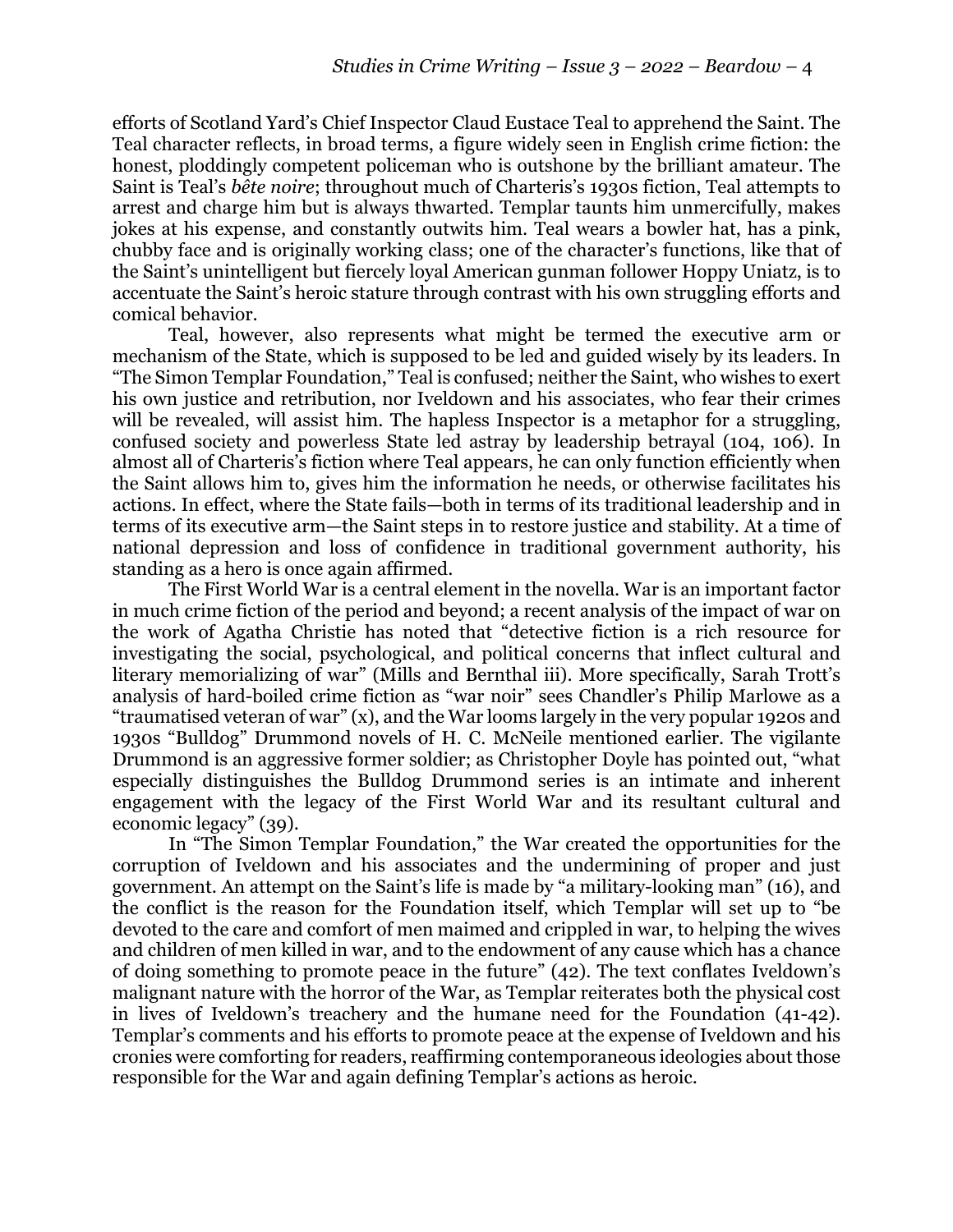efforts of Scotland Yard's Chief Inspector Claud Eustace Teal to apprehend the Saint. The Teal character reflects, in broad terms, a figure widely seen in English crime fiction: the honest, ploddingly competent policeman who is outshone by the brilliant amateur. The Saint is Teal's *bête noire*; throughout much of Charteris's 1930s fiction, Teal attempts to arrest and charge him but is always thwarted. Templar taunts him unmercifully, makes jokes at his expense, and constantly outwits him. Teal wears a bowler hat, has a pink, chubby face and is originally working class; one of the character's functions, like that of the Saint's unintelligent but fiercely loyal American gunman follower Hoppy Uniatz, is to accentuate the Saint's heroic stature through contrast with his own struggling efforts and comical behavior.

Teal, however, also represents what might be termed the executive arm or mechanism of the State, which is supposed to be led and guided wisely by its leaders. In "The Simon Templar Foundation," Teal is confused; neither the Saint, who wishes to exert his own justice and retribution, nor Iveldown and his associates, who fear their crimes will be revealed, will assist him. The hapless Inspector is a metaphor for a struggling, confused society and powerless State led astray by leadership betrayal (104, 106). In almost all of Charteris's fiction where Teal appears, he can only function efficiently when the Saint allows him to, gives him the information he needs, or otherwise facilitates his actions. In effect, where the State fails—both in terms of its traditional leadership and in terms of its executive arm—the Saint steps in to restore justice and stability. At a time of national depression and loss of confidence in traditional government authority, his standing as a hero is once again affirmed.

The First World War is a central element in the novella. War is an important factor in much crime fiction of the period and beyond; a recent analysis of the impact of war on the work of Agatha Christie has noted that "detective fiction is a rich resource for investigating the social, psychological, and political concerns that inflect cultural and literary memorializing of war" (Mills and Bernthal iii). More specifically, Sarah Trott's analysis of hard-boiled crime fiction as "war noir" sees Chandler's Philip Marlowe as a "traumatised veteran of war" (x), and the War looms largely in the very popular 1920s and 1930s "Bulldog" Drummond novels of H. C. McNeile mentioned earlier. The vigilante Drummond is an aggressive former soldier; as Christopher Doyle has pointed out, "what especially distinguishes the Bulldog Drummond series is an intimate and inherent engagement with the legacy of the First World War and its resultant cultural and economic legacy" (39).

In "The Simon Templar Foundation," the War created the opportunities for the corruption of Iveldown and his associates and the undermining of proper and just government. An attempt on the Saint's life is made by "a military-looking man" (16), and the conflict is the reason for the Foundation itself, which Templar will set up to "be devoted to the care and comfort of men maimed and crippled in war, to helping the wives and children of men killed in war, and to the endowment of any cause which has a chance of doing something to promote peace in the future" (42). The text conflates Iveldown's malignant nature with the horror of the War, as Templar reiterates both the physical cost in lives of Iveldown's treachery and the humane need for the Foundation (41-42). Templar's comments and his efforts to promote peace at the expense of Iveldown and his cronies were comforting for readers, reaffirming contemporaneous ideologies about those responsible for the War and again defining Templar's actions as heroic.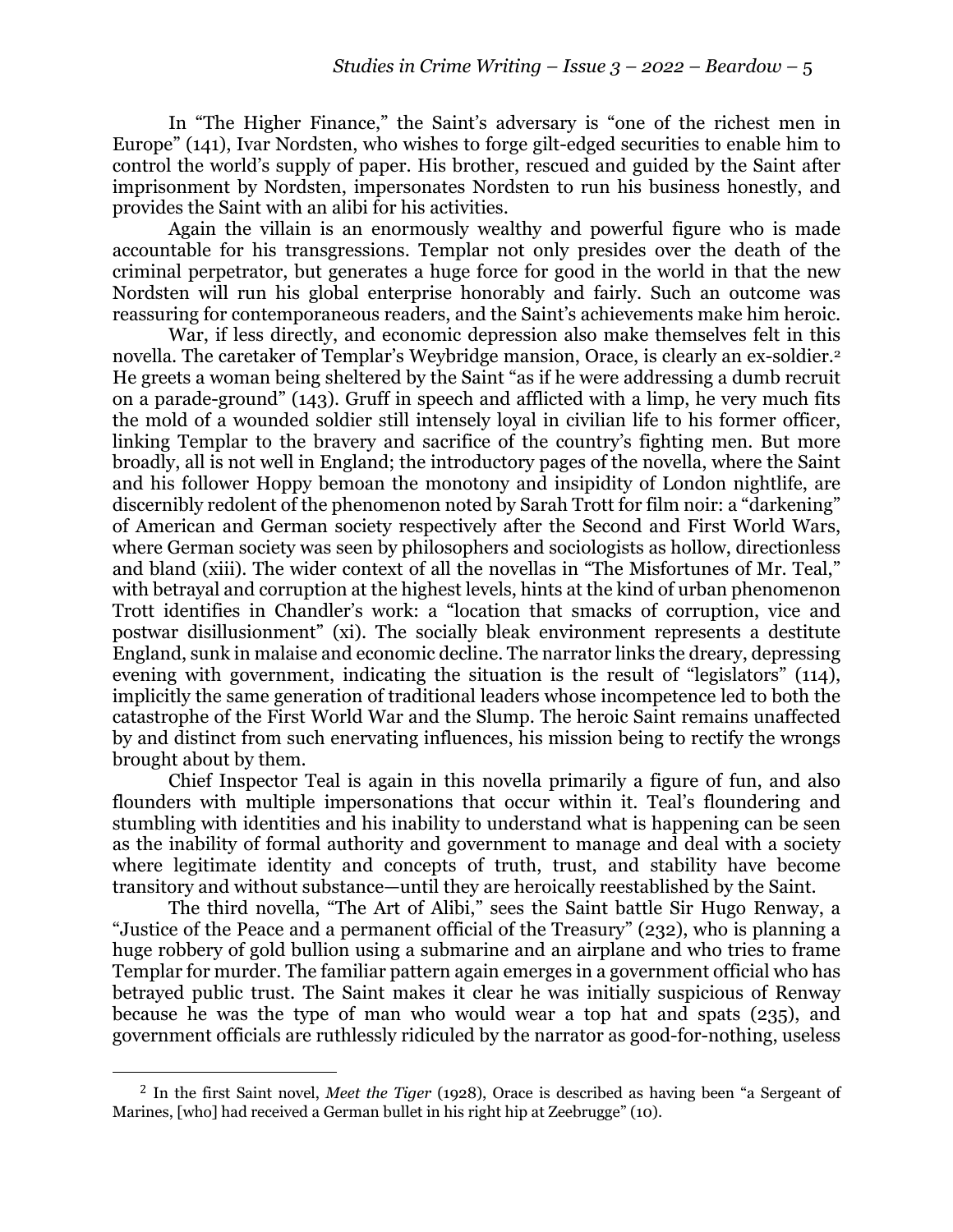In "The Higher Finance," the Saint's adversary is "one of the richest men in Europe" (141), Ivar Nordsten, who wishes to forge gilt-edged securities to enable him to control the world's supply of paper. His brother, rescued and guided by the Saint after imprisonment by Nordsten, impersonates Nordsten to run his business honestly, and provides the Saint with an alibi for his activities.

Again the villain is an enormously wealthy and powerful figure who is made accountable for his transgressions. Templar not only presides over the death of the criminal perpetrator, but generates a huge force for good in the world in that the new Nordsten will run his global enterprise honorably and fairly. Such an outcome was reassuring for contemporaneous readers, and the Saint's achievements make him heroic.

War, if less directly, and economic depression also make themselves felt in this novella. The caretaker of Templar's Weybridge mansion, Orace, is clearly an ex-soldier.2 He greets a woman being sheltered by the Saint "as if he were addressing a dumb recruit on a parade-ground" (143). Gruff in speech and afflicted with a limp, he very much fits the mold of a wounded soldier still intensely loyal in civilian life to his former officer, linking Templar to the bravery and sacrifice of the country's fighting men. But more broadly, all is not well in England; the introductory pages of the novella, where the Saint and his follower Hoppy bemoan the monotony and insipidity of London nightlife, are discernibly redolent of the phenomenon noted by Sarah Trott for film noir: a "darkening" of American and German society respectively after the Second and First World Wars, where German society was seen by philosophers and sociologists as hollow, directionless and bland (xiii). The wider context of all the novellas in "The Misfortunes of Mr. Teal," with betrayal and corruption at the highest levels, hints at the kind of urban phenomenon Trott identifies in Chandler's work: a "location that smacks of corruption, vice and postwar disillusionment" (xi). The socially bleak environment represents a destitute England, sunk in malaise and economic decline. The narrator links the dreary, depressing evening with government, indicating the situation is the result of "legislators" (114), implicitly the same generation of traditional leaders whose incompetence led to both the catastrophe of the First World War and the Slump. The heroic Saint remains unaffected by and distinct from such enervating influences, his mission being to rectify the wrongs brought about by them.

Chief Inspector Teal is again in this novella primarily a figure of fun, and also flounders with multiple impersonations that occur within it. Teal's floundering and stumbling with identities and his inability to understand what is happening can be seen as the inability of formal authority and government to manage and deal with a society where legitimate identity and concepts of truth, trust, and stability have become transitory and without substance—until they are heroically reestablished by the Saint.

The third novella, "The Art of Alibi," sees the Saint battle Sir Hugo Renway, a "Justice of the Peace and a permanent official of the Treasury" (232), who is planning a huge robbery of gold bullion using a submarine and an airplane and who tries to frame Templar for murder. The familiar pattern again emerges in a government official who has betrayed public trust. The Saint makes it clear he was initially suspicious of Renway because he was the type of man who would wear a top hat and spats (235), and government officials are ruthlessly ridiculed by the narrator as good-for-nothing, useless

<sup>2</sup> In the first Saint novel, *Meet the Tiger* (1928), Orace is described as having been "a Sergeant of Marines, [who] had received a German bullet in his right hip at Zeebrugge" (10).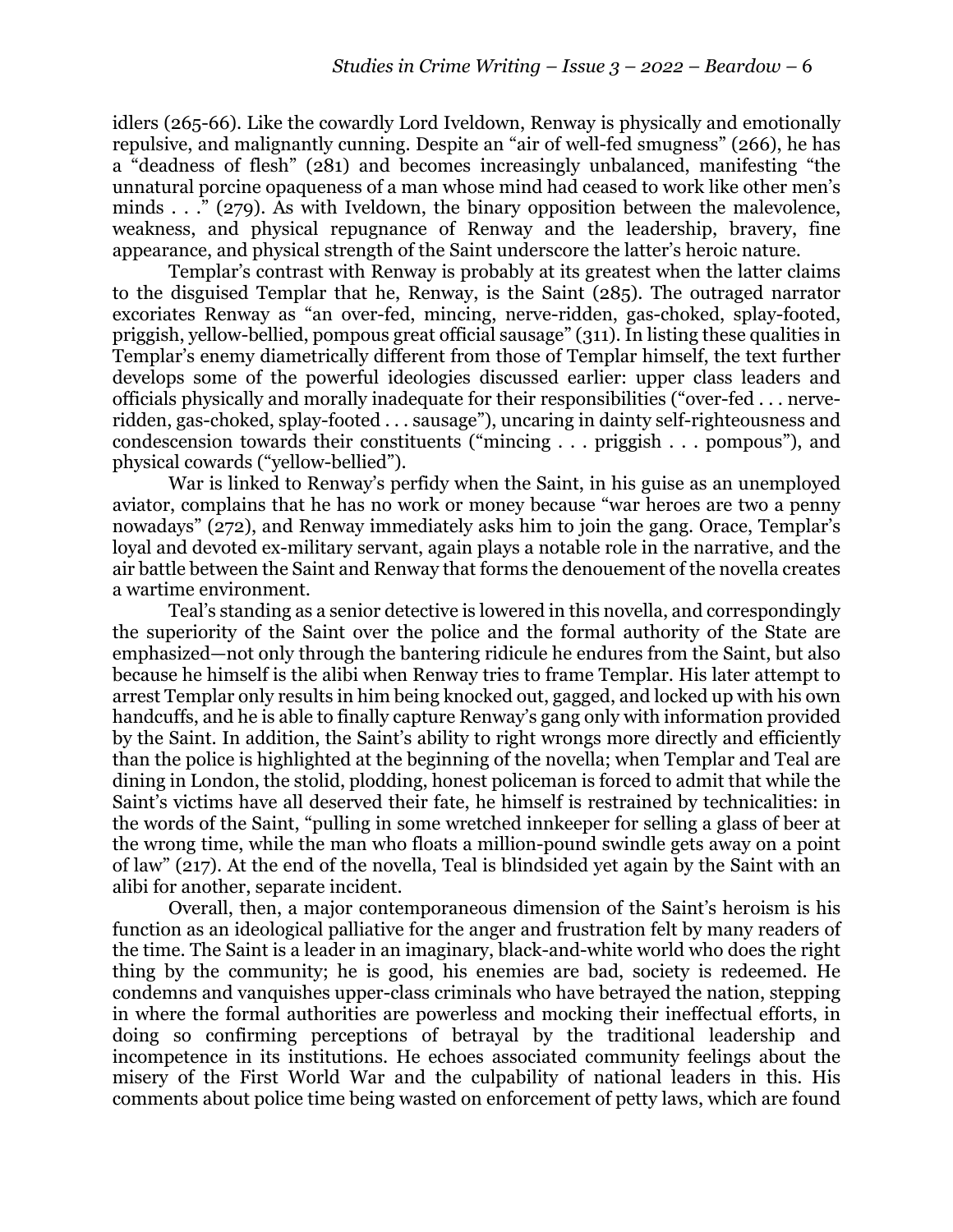idlers (265-66). Like the cowardly Lord Iveldown, Renway is physically and emotionally repulsive, and malignantly cunning. Despite an "air of well-fed smugness" (266), he has a "deadness of flesh" (281) and becomes increasingly unbalanced, manifesting "the unnatural porcine opaqueness of a man whose mind had ceased to work like other men's minds . . ." (279). As with Iveldown, the binary opposition between the malevolence, weakness, and physical repugnance of Renway and the leadership, bravery, fine appearance, and physical strength of the Saint underscore the latter's heroic nature.

Templar's contrast with Renway is probably at its greatest when the latter claims to the disguised Templar that he, Renway, is the Saint (285). The outraged narrator excoriates Renway as "an over-fed, mincing, nerve-ridden, gas-choked, splay-footed, priggish, yellow-bellied, pompous great official sausage" (311). In listing these qualities in Templar's enemy diametrically different from those of Templar himself, the text further develops some of the powerful ideologies discussed earlier: upper class leaders and officials physically and morally inadequate for their responsibilities ("over-fed . . . nerveridden, gas-choked, splay-footed . . . sausage"), uncaring in dainty self-righteousness and condescension towards their constituents ("mincing . . . priggish . . . pompous"), and physical cowards ("yellow-bellied").

War is linked to Renway's perfidy when the Saint, in his guise as an unemployed aviator, complains that he has no work or money because "war heroes are two a penny nowadays" (272), and Renway immediately asks him to join the gang. Orace, Templar's loyal and devoted ex-military servant, again plays a notable role in the narrative, and the air battle between the Saint and Renway that forms the denouement of the novella creates a wartime environment.

Teal's standing as a senior detective is lowered in this novella, and correspondingly the superiority of the Saint over the police and the formal authority of the State are emphasized—not only through the bantering ridicule he endures from the Saint, but also because he himself is the alibi when Renway tries to frame Templar. His later attempt to arrest Templar only results in him being knocked out, gagged, and locked up with his own handcuffs, and he is able to finally capture Renway's gang only with information provided by the Saint. In addition, the Saint's ability to right wrongs more directly and efficiently than the police is highlighted at the beginning of the novella; when Templar and Teal are dining in London, the stolid, plodding, honest policeman is forced to admit that while the Saint's victims have all deserved their fate, he himself is restrained by technicalities: in the words of the Saint, "pulling in some wretched innkeeper for selling a glass of beer at the wrong time, while the man who floats a million-pound swindle gets away on a point of law" (217). At the end of the novella, Teal is blindsided yet again by the Saint with an alibi for another, separate incident.

Overall, then, a major contemporaneous dimension of the Saint's heroism is his function as an ideological palliative for the anger and frustration felt by many readers of the time. The Saint is a leader in an imaginary, black-and-white world who does the right thing by the community; he is good, his enemies are bad, society is redeemed. He condemns and vanquishes upper-class criminals who have betrayed the nation, stepping in where the formal authorities are powerless and mocking their ineffectual efforts, in doing so confirming perceptions of betrayal by the traditional leadership and incompetence in its institutions. He echoes associated community feelings about the misery of the First World War and the culpability of national leaders in this. His comments about police time being wasted on enforcement of petty laws, which are found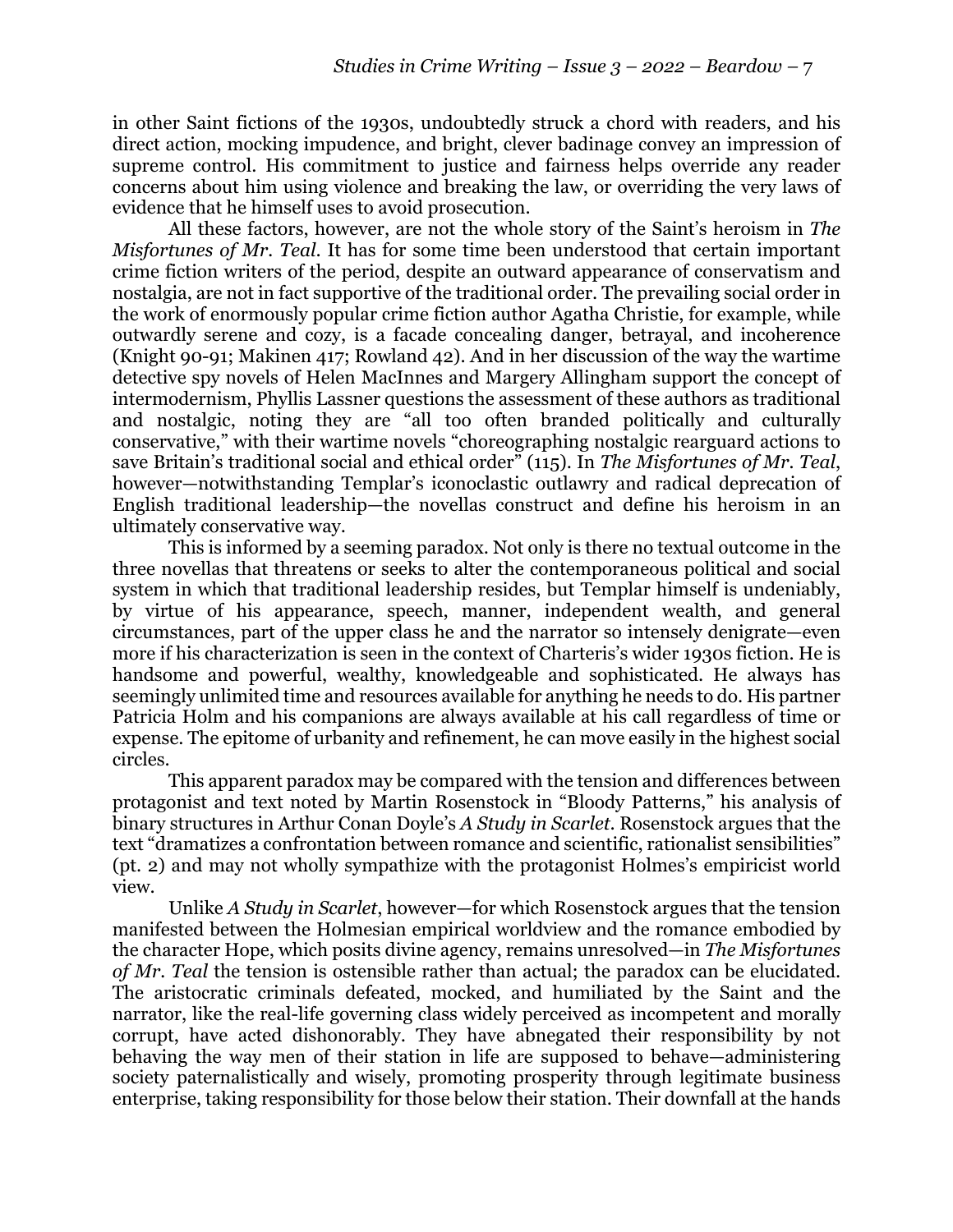in other Saint fictions of the 1930s, undoubtedly struck a chord with readers, and his direct action, mocking impudence, and bright, clever badinage convey an impression of supreme control. His commitment to justice and fairness helps override any reader concerns about him using violence and breaking the law, or overriding the very laws of evidence that he himself uses to avoid prosecution.

All these factors, however, are not the whole story of the Saint's heroism in *The Misfortunes of Mr. Teal*. It has for some time been understood that certain important crime fiction writers of the period, despite an outward appearance of conservatism and nostalgia, are not in fact supportive of the traditional order. The prevailing social order in the work of enormously popular crime fiction author Agatha Christie, for example, while outwardly serene and cozy, is a facade concealing danger, betrayal, and incoherence (Knight 90-91; Makinen 417; Rowland 42). And in her discussion of the way the wartime detective spy novels of Helen MacInnes and Margery Allingham support the concept of intermodernism, Phyllis Lassner questions the assessment of these authors as traditional and nostalgic, noting they are "all too often branded politically and culturally conservative," with their wartime novels "choreographing nostalgic rearguard actions to save Britain's traditional social and ethical order" (115). In *The Misfortunes of Mr. Teal*, however—notwithstanding Templar's iconoclastic outlawry and radical deprecation of English traditional leadership—the novellas construct and define his heroism in an ultimately conservative way.

This is informed by a seeming paradox. Not only is there no textual outcome in the three novellas that threatens or seeks to alter the contemporaneous political and social system in which that traditional leadership resides, but Templar himself is undeniably, by virtue of his appearance, speech, manner, independent wealth, and general circumstances, part of the upper class he and the narrator so intensely denigrate—even more if his characterization is seen in the context of Charteris's wider 1930s fiction. He is handsome and powerful, wealthy, knowledgeable and sophisticated. He always has seemingly unlimited time and resources available for anything he needs to do. His partner Patricia Holm and his companions are always available at his call regardless of time or expense. The epitome of urbanity and refinement, he can move easily in the highest social circles.

This apparent paradox may be compared with the tension and differences between protagonist and text noted by Martin Rosenstock in "Bloody Patterns," his analysis of binary structures in Arthur Conan Doyle's *A Study in Scarlet*. Rosenstock argues that the text "dramatizes a confrontation between romance and scientific, rationalist sensibilities" (pt. 2) and may not wholly sympathize with the protagonist Holmes's empiricist world view.

Unlike *A Study in Scarlet*, however—for which Rosenstock argues that the tension manifested between the Holmesian empirical worldview and the romance embodied by the character Hope, which posits divine agency, remains unresolved—in *The Misfortunes of Mr. Teal the tension is ostensible rather than actual; the paradox can be elucidated.* The aristocratic criminals defeated, mocked, and humiliated by the Saint and the narrator, like the real-life governing class widely perceived as incompetent and morally corrupt, have acted dishonorably. They have abnegated their responsibility by not behaving the way men of their station in life are supposed to behave—administering society paternalistically and wisely, promoting prosperity through legitimate business enterprise, taking responsibility for those below their station. Their downfall at the hands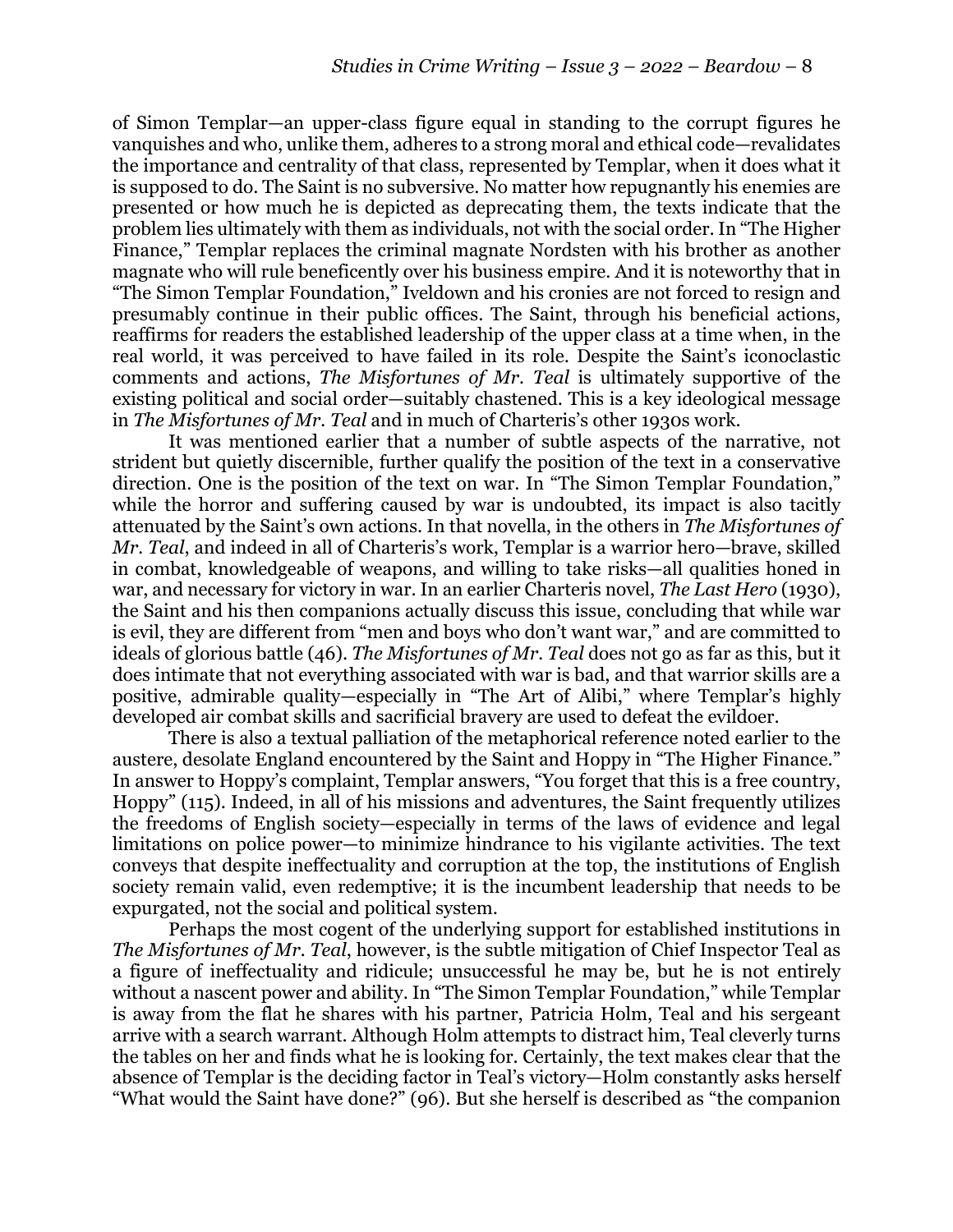of Simon Templar—an upper-class figure equal in standing to the corrupt figures he vanquishes and who, unlike them, adheres to a strong moral and ethical code—revalidates the importance and centrality of that class, represented by Templar, when it does what it is supposed to do. The Saint is no subversive. No matter how repugnantly his enemies are presented or how much he is depicted as deprecating them, the texts indicate that the problem lies ultimately with them as individuals, not with the social order. In "The Higher Finance," Templar replaces the criminal magnate Nordsten with his brother as another magnate who will rule beneficently over his business empire. And it is noteworthy that in "The Simon Templar Foundation," Iveldown and his cronies are not forced to resign and presumably continue in their public offices. The Saint, through his beneficial actions, reaffirms for readers the established leadership of the upper class at a time when, in the real world, it was perceived to have failed in its role. Despite the Saint's iconoclastic comments and actions, *The Misfortunes of Mr. Teal* is ultimately supportive of the existing political and social order—suitably chastened. This is a key ideological message in *The Misfortunes of Mr. Teal* and in much of Charteris's other 1930s work.

It was mentioned earlier that a number of subtle aspects of the narrative, not strident but quietly discernible, further qualify the position of the text in a conservative direction. One is the position of the text on war. In "The Simon Templar Foundation," while the horror and suffering caused by war is undoubted, its impact is also tacitly attenuated by the Saint's own actions. In that novella, in the others in *The Misfortunes of Mr. Teal*, and indeed in all of Charteris's work, Templar is a warrior hero—brave, skilled in combat, knowledgeable of weapons, and willing to take risks—all qualities honed in war, and necessary for victory in war. In an earlier Charteris novel, *The Last Hero* (1930), the Saint and his then companions actually discuss this issue, concluding that while war is evil, they are different from "men and boys who don't want war," and are committed to ideals of glorious battle (46). *The Misfortunes of Mr. Teal* does not go as far as this, but it does intimate that not everything associated with war is bad, and that warrior skills are a positive, admirable quality—especially in "The Art of Alibi," where Templar's highly developed air combat skills and sacrificial bravery are used to defeat the evildoer.

There is also a textual palliation of the metaphorical reference noted earlier to the austere, desolate England encountered by the Saint and Hoppy in "The Higher Finance." In answer to Hoppy's complaint, Templar answers, "You forget that this is a free country, Hoppy" (115). Indeed, in all of his missions and adventures, the Saint frequently utilizes the freedoms of English society—especially in terms of the laws of evidence and legal limitations on police power—to minimize hindrance to his vigilante activities. The text conveys that despite ineffectuality and corruption at the top, the institutions of English society remain valid, even redemptive; it is the incumbent leadership that needs to be expurgated, not the social and political system.

Perhaps the most cogent of the underlying support for established institutions in *The Misfortunes of Mr. Teal*, however, is the subtle mitigation of Chief Inspector Teal as a figure of ineffectuality and ridicule; unsuccessful he may be, but he is not entirely without a nascent power and ability. In "The Simon Templar Foundation," while Templar is away from the flat he shares with his partner, Patricia Holm, Teal and his sergeant arrive with a search warrant. Although Holm attempts to distract him, Teal cleverly turns the tables on her and finds what he is looking for. Certainly, the text makes clear that the absence of Templar is the deciding factor in Teal's victory—Holm constantly asks herself "What would the Saint have done?" (96). But she herself is described as "the companion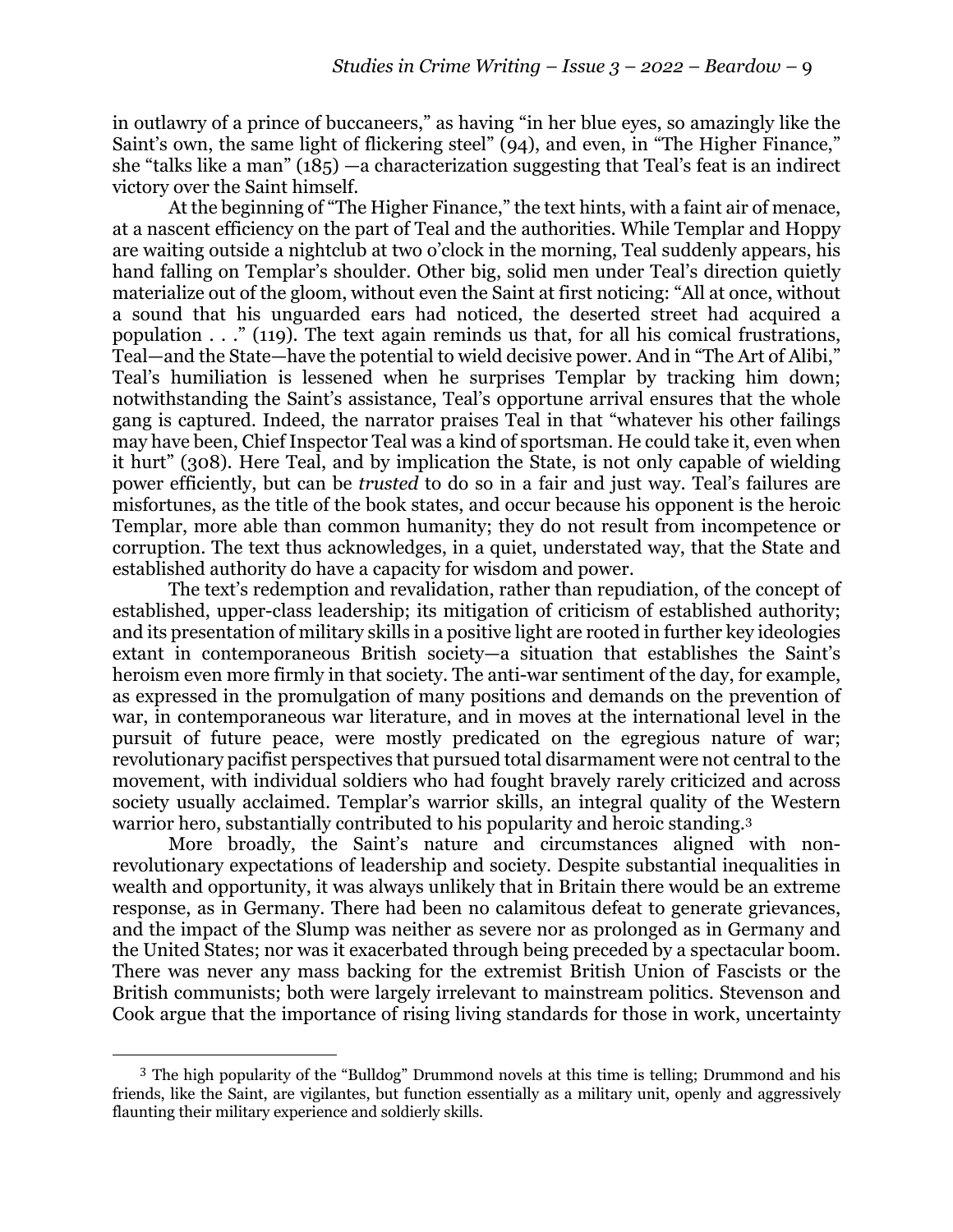in outlawry of a prince of buccaneers," as having "in her blue eyes, so amazingly like the Saint's own, the same light of flickering steel" (94), and even, in "The Higher Finance," she "talks like a man" (185) —a characterization suggesting that Teal's feat is an indirect victory over the Saint himself.

At the beginning of "The Higher Finance," the text hints, with a faint air of menace, at a nascent efficiency on the part of Teal and the authorities. While Templar and Hoppy are waiting outside a nightclub at two o'clock in the morning, Teal suddenly appears, his hand falling on Templar's shoulder. Other big, solid men under Teal's direction quietly materialize out of the gloom, without even the Saint at first noticing: "All at once, without a sound that his unguarded ears had noticed, the deserted street had acquired a population . . ." (119). The text again reminds us that, for all his comical frustrations, Teal—and the State—have the potential to wield decisive power. And in "The Art of Alibi," Teal's humiliation is lessened when he surprises Templar by tracking him down; notwithstanding the Saint's assistance, Teal's opportune arrival ensures that the whole gang is captured. Indeed, the narrator praises Teal in that "whatever his other failings may have been, Chief Inspector Teal was a kind of sportsman. He could take it, even when it hurt" (308). Here Teal, and by implication the State, is not only capable of wielding power efficiently, but can be *trusted* to do so in a fair and just way. Teal's failures are misfortunes, as the title of the book states, and occur because his opponent is the heroic Templar, more able than common humanity; they do not result from incompetence or corruption. The text thus acknowledges, in a quiet, understated way, that the State and established authority do have a capacity for wisdom and power.

The text's redemption and revalidation, rather than repudiation, of the concept of established, upper-class leadership; its mitigation of criticism of established authority; and its presentation of military skills in a positive light are rooted in further key ideologies extant in contemporaneous British society—a situation that establishes the Saint's heroism even more firmly in that society. The anti-war sentiment of the day, for example, as expressed in the promulgation of many positions and demands on the prevention of war, in contemporaneous war literature, and in moves at the international level in the pursuit of future peace, were mostly predicated on the egregious nature of war; revolutionary pacifist perspectives that pursued total disarmament were not central to the movement, with individual soldiers who had fought bravely rarely criticized and across society usually acclaimed. Templar's warrior skills, an integral quality of the Western warrior hero, substantially contributed to his popularity and heroic standing.3

More broadly, the Saint's nature and circumstances aligned with nonrevolutionary expectations of leadership and society. Despite substantial inequalities in wealth and opportunity, it was always unlikely that in Britain there would be an extreme response, as in Germany. There had been no calamitous defeat to generate grievances, and the impact of the Slump was neither as severe nor as prolonged as in Germany and the United States; nor was it exacerbated through being preceded by a spectacular boom. There was never any mass backing for the extremist British Union of Fascists or the British communists; both were largely irrelevant to mainstream politics. Stevenson and Cook argue that the importance of rising living standards for those in work, uncertainty

 $3$  The high popularity of the "Bulldog" Drummond novels at this time is telling; Drummond and his friends, like the Saint, are vigilantes, but function essentially as a military unit, openly and aggressively flaunting their military experience and soldierly skills.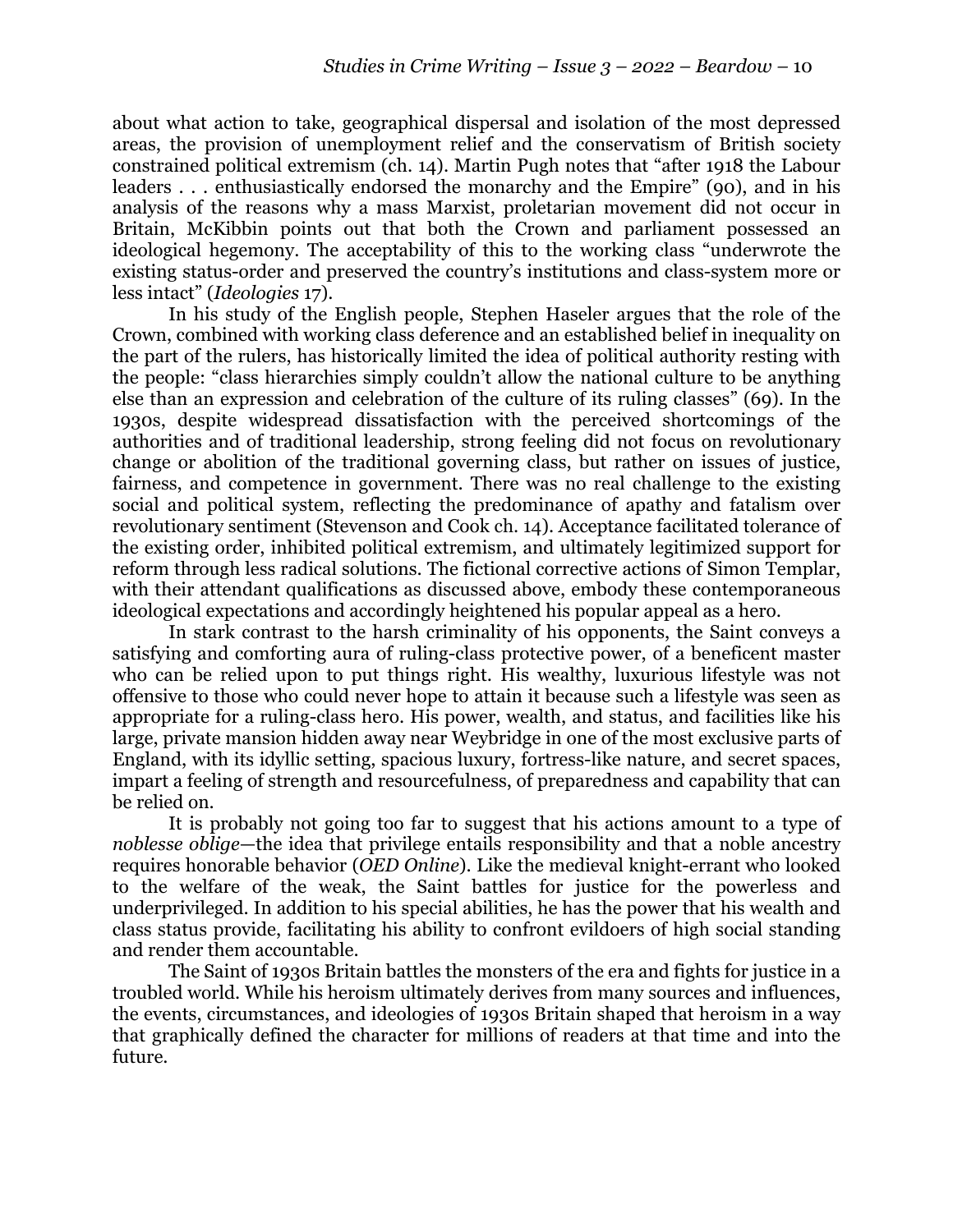about what action to take, geographical dispersal and isolation of the most depressed areas, the provision of unemployment relief and the conservatism of British society constrained political extremism (ch. 14). Martin Pugh notes that "after 1918 the Labour leaders . . . enthusiastically endorsed the monarchy and the Empire" (90), and in his analysis of the reasons why a mass Marxist, proletarian movement did not occur in Britain, McKibbin points out that both the Crown and parliament possessed an ideological hegemony. The acceptability of this to the working class "underwrote the existing status-order and preserved the country's institutions and class-system more or less intact" (*Ideologies* 17).

In his study of the English people, Stephen Haseler argues that the role of the Crown, combined with working class deference and an established belief in inequality on the part of the rulers, has historically limited the idea of political authority resting with the people: "class hierarchies simply couldn't allow the national culture to be anything else than an expression and celebration of the culture of its ruling classes" (69). In the 1930s, despite widespread dissatisfaction with the perceived shortcomings of the authorities and of traditional leadership, strong feeling did not focus on revolutionary change or abolition of the traditional governing class, but rather on issues of justice, fairness, and competence in government. There was no real challenge to the existing social and political system, reflecting the predominance of apathy and fatalism over revolutionary sentiment (Stevenson and Cook ch. 14). Acceptance facilitated tolerance of the existing order, inhibited political extremism, and ultimately legitimized support for reform through less radical solutions. The fictional corrective actions of Simon Templar, with their attendant qualifications as discussed above, embody these contemporaneous ideological expectations and accordingly heightened his popular appeal as a hero.

In stark contrast to the harsh criminality of his opponents, the Saint conveys a satisfying and comforting aura of ruling-class protective power, of a beneficent master who can be relied upon to put things right. His wealthy, luxurious lifestyle was not offensive to those who could never hope to attain it because such a lifestyle was seen as appropriate for a ruling-class hero. His power, wealth, and status, and facilities like his large, private mansion hidden away near Weybridge in one of the most exclusive parts of England, with its idyllic setting, spacious luxury, fortress-like nature, and secret spaces, impart a feeling of strength and resourcefulness, of preparedness and capability that can be relied on.

It is probably not going too far to suggest that his actions amount to a type of *noblesse oblige*—the idea that privilege entails responsibility and that a noble ancestry requires honorable behavior (*OED Online*). Like the medieval knight-errant who looked to the welfare of the weak, the Saint battles for justice for the powerless and underprivileged. In addition to his special abilities, he has the power that his wealth and class status provide, facilitating his ability to confront evildoers of high social standing and render them accountable.

The Saint of 1930s Britain battles the monsters of the era and fights for justice in a troubled world. While his heroism ultimately derives from many sources and influences, the events, circumstances, and ideologies of 1930s Britain shaped that heroism in a way that graphically defined the character for millions of readers at that time and into the future.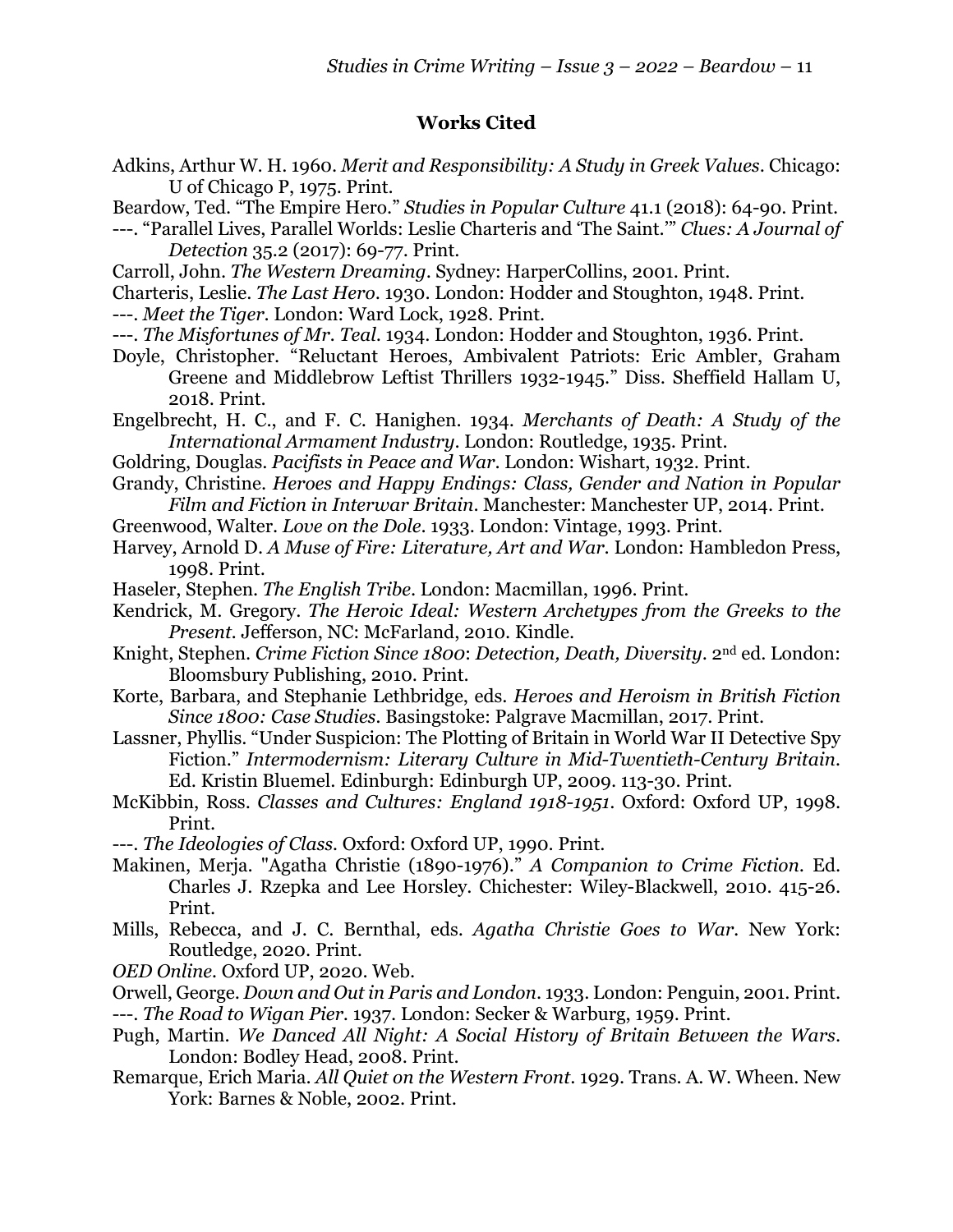## **Works Cited**

- Adkins, Arthur W. H. 1960. *Merit and Responsibility: A Study in Greek Values*. Chicago: U of Chicago P, 1975. Print.
- Beardow, Ted. "The Empire Hero." *Studies in Popular Culture* 41.1 (2018): 64-90. Print.
- ---. "Parallel Lives, Parallel Worlds: Leslie Charteris and 'The Saint.'" *Clues: A Journal of Detection* 35.2 (2017): 69-77. Print.
- Carroll, John. *The Western Dreaming*. Sydney: HarperCollins, 2001. Print.
- Charteris, Leslie. *The Last Hero*. 1930. London: Hodder and Stoughton, 1948. Print.
- ---. *Meet the Tiger*. London: Ward Lock, 1928. Print.
- ---. *The Misfortunes of Mr. Teal*. 1934. London: Hodder and Stoughton, 1936. Print.
- Doyle, Christopher. "Reluctant Heroes, Ambivalent Patriots: Eric Ambler, Graham Greene and Middlebrow Leftist Thrillers 1932-1945." Diss. Sheffield Hallam U, 2018. Print.
- Engelbrecht, H. C., and F. C. Hanighen. 1934. *Merchants of Death: A Study of the International Armament Industry*. London: Routledge, 1935. Print.
- Goldring, Douglas. *Pacifists in Peace and War*. London: Wishart, 1932. Print.
- Grandy, Christine. *Heroes and Happy Endings: Class, Gender and Nation in Popular Film and Fiction in Interwar Britain*. Manchester: Manchester UP, 2014. Print.
- Greenwood, Walter. *Love on the Dole*. 1933. London: Vintage, 1993. Print.
- Harvey, Arnold D. *A Muse of Fire: Literature, Art and War*. London: Hambledon Press, 1998. Print.
- Haseler, Stephen. *The English Tribe*. London: Macmillan, 1996. Print.
- Kendrick, M. Gregory. *The Heroic Ideal: Western Archetypes from the Greeks to the Present.* Jefferson, NC: McFarland, 2010. Kindle.
- Knight, Stephen. *Crime Fiction Since 1800*: *Detection, Death, Diversity*. 2nd ed. London: Bloomsbury Publishing, 2010. Print.
- Korte, Barbara, and Stephanie Lethbridge, eds. *Heroes and Heroism in British Fiction Since 1800: Case Studies.* Basingstoke: Palgrave Macmillan, 2017. Print.
- Lassner, Phyllis. "Under Suspicion: The Plotting of Britain in World War II Detective Spy Fiction." *Intermodernism: Literary Culture in Mid-Twentieth-Century Britain.*  Ed. Kristin Bluemel. Edinburgh: Edinburgh UP, 2009. 113-30. Print.
- McKibbin, Ross. *Classes and Cultures: England 1918-1951*. Oxford: Oxford UP, 1998. Print.
- ---. *The Ideologies of Class.* Oxford: Oxford UP, 1990. Print.
- Makinen, Merja. "Agatha Christie (1890-1976)." *A Companion to Crime Fiction*. Ed. Charles J. Rzepka and Lee Horsley. Chichester: Wiley-Blackwell, 2010. 415-26. Print.
- Mills, Rebecca, and J. C. Bernthal, eds. *Agatha Christie Goes to War.* New York: Routledge, 2020. Print.
- *OED Online.* Oxford UP, 2020. Web.
- Orwell, George. *Down and Out in Paris and London*. 1933. London: Penguin, 2001. Print. ---. *The Road to Wigan Pier*. 1937. London: Secker & Warburg, 1959. Print.
- Pugh, Martin. *We Danced All Night: A Social History of Britain Between the Wars*. London: Bodley Head, 2008. Print.
- Remarque, Erich Maria. *All Quiet on the Western Front*. 1929. Trans. A. W. Wheen. New York: Barnes & Noble, 2002. Print.